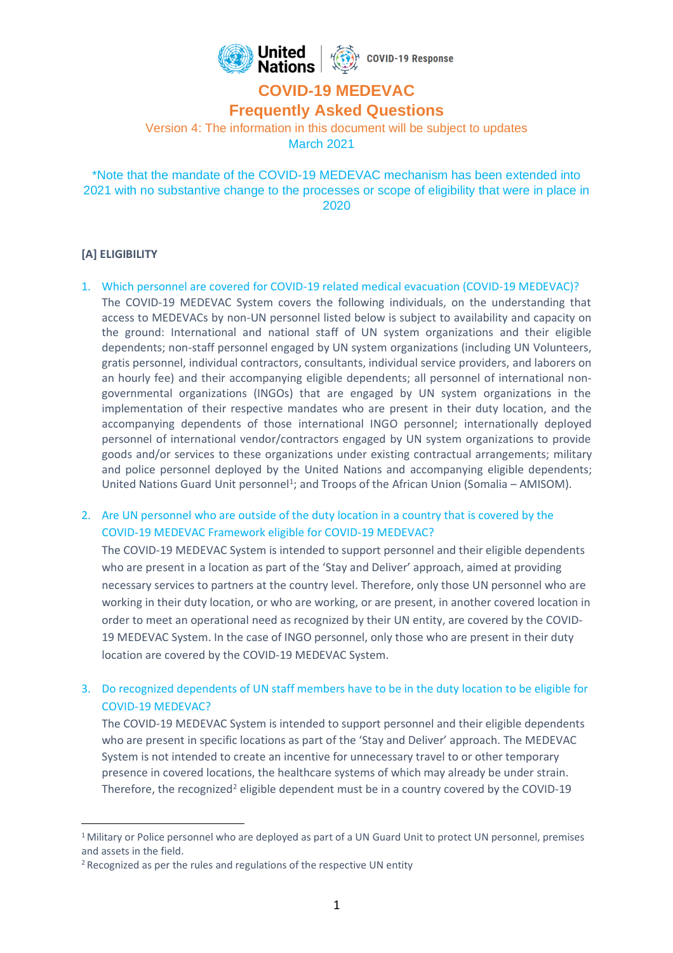

# **COVID-19 MEDEVAC**

**Frequently Asked Questions**

Version 4: The information in this document will be subject to updates March 2021

\*Note that the mandate of the COVID-19 MEDEVAC mechanism has been extended into 2021 with no substantive change to the processes or scope of eligibility that were in place in 2020

# **[A] ELIGIBILITY**

1. Which personnel are covered for COVID-19 related medical evacuation (COVID-19 MEDEVAC)? The COVID-19 MEDEVAC System covers the following individuals, on the understanding that access to MEDEVACs by non-UN personnel listed below is subject to availability and capacity on the ground: International and national staff of UN system organizations and their eligible dependents; non-staff personnel engaged by UN system organizations (including UN Volunteers, gratis personnel, individual contractors, consultants, individual service providers, and laborers on an hourly fee) and their accompanying eligible dependents; all personnel of international nongovernmental organizations (INGOs) that are engaged by UN system organizations in the implementation of their respective mandates who are present in their duty location, and the accompanying dependents of those international INGO personnel; internationally deployed personnel of international vendor/contractors engaged by UN system organizations to provide goods and/or services to these organizations under existing contractual arrangements; military and police personnel deployed by the United Nations and accompanying eligible dependents; United Nations Guard Unit personnel<sup>1</sup>; and Troops of the African Union (Somalia - AMISOM).

2. Are UN personnel who are outside of the duty location in a country that is covered by the COVID-19 MEDEVAC Framework eligible for COVID-19 MEDEVAC?

The COVID-19 MEDEVAC System is intended to support personnel and their eligible dependents who are present in a location as part of the 'Stay and Deliver' approach, aimed at providing necessary services to partners at the country level. Therefore, only those UN personnel who are working in their duty location, or who are working, or are present, in another covered location in order to meet an operational need as recognized by their UN entity, are covered by the COVID-19 MEDEVAC System. In the case of INGO personnel, only those who are present in their duty location are covered by the COVID-19 MEDEVAC System.

3. Do recognized dependents of UN staff members have to be in the duty location to be eligible for COVID-19 MEDEVAC?

The COVID-19 MEDEVAC System is intended to support personnel and their eligible dependents who are present in specific locations as part of the 'Stay and Deliver' approach. The MEDEVAC System is not intended to create an incentive for unnecessary travel to or other temporary presence in covered locations, the healthcare systems of which may already be under strain. Therefore, the recognized<sup>2</sup> eligible dependent must be in a country covered by the COVID-19

<sup>&</sup>lt;sup>1</sup> Military or Police personnel who are deployed as part of a UN Guard Unit to protect UN personnel, premises and assets in the field.

<sup>&</sup>lt;sup>2</sup> Recognized as per the rules and regulations of the respective UN entity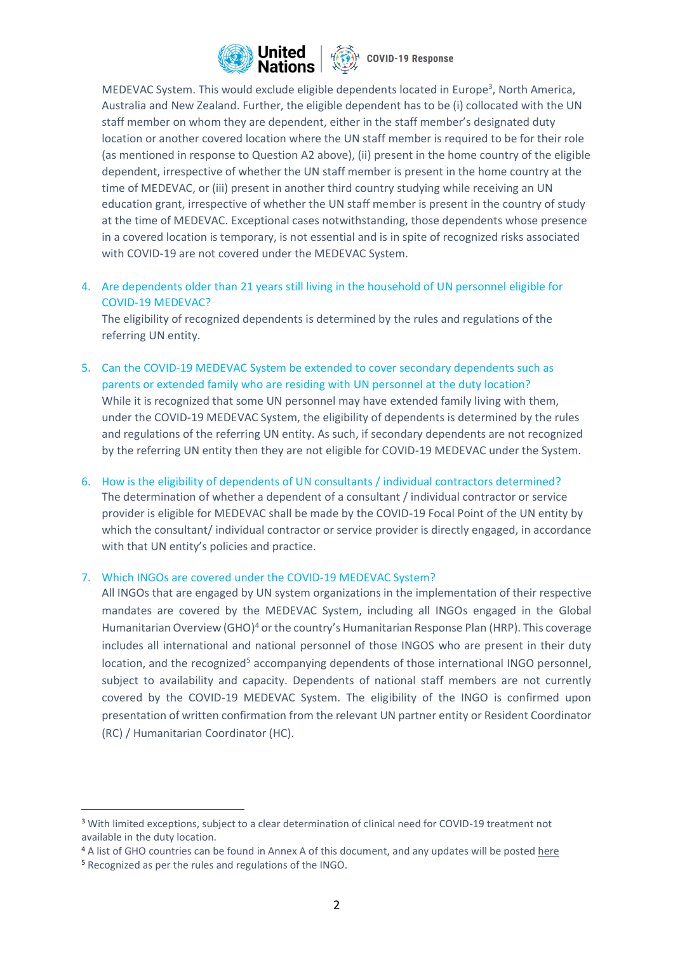

MEDEVAC System. This would exclude eligible dependents located in Europe<sup>3</sup>, North America, Australia and New Zealand. Further, the eligible dependent has to be (i) collocated with the UN staff member on whom they are dependent, either in the staff member's designated duty location or another covered location where the UN staff member is required to be for their role (as mentioned in response to Question A2 above), (ii) present in the home country of the eligible dependent, irrespective of whether the UN staff member is present in the home country at the time of MEDEVAC, or (iii) present in another third country studying while receiving an UN education grant, irrespective of whether the UN staff member is present in the country of study at the time of MEDEVAC. Exceptional cases notwithstanding, those dependents whose presence in a covered location is temporary, is not essential and is in spite of recognized risks associated with COVID-19 are not covered under the MEDEVAC System.

4. Are dependents older than 21 years still living in the household of UN personnel eligible for COVID-19 MEDEVAC?

The eligibility of recognized dependents is determined by the rules and regulations of the referring UN entity.

- 5. Can the COVID-19 MEDEVAC System be extended to cover secondary dependents such as parents or extended family who are residing with UN personnel at the duty location? While it is recognized that some UN personnel may have extended family living with them, under the COVID-19 MEDEVAC System, the eligibility of dependents is determined by the rules and regulations of the referring UN entity. As such, if secondary dependents are not recognized by the referring UN entity then they are not eligible for COVID-19 MEDEVAC under the System.
- 6. How is the eligibility of dependents of UN consultants / individual contractors determined? The determination of whether a dependent of a consultant / individual contractor or service provider is eligible for MEDEVAC shall be made by the COVID-19 Focal Point of the UN entity by which the consultant/ individual contractor or service provider is directly engaged, in accordance with that UN entity's policies and practice.

#### 7. Which INGOs are covered under the COVID-19 MEDEVAC System?

All INGOs that are engaged by UN system organizations in the implementation of their respective mandates are covered by the MEDEVAC System, including all INGOs engaged in the Global Humanitarian Overview (GHO)<sup>4</sup> or the country's Humanitarian Response Plan (HRP). This coverage includes all international and national personnel of those INGOS who are present in their duty location, and the recognized<sup>5</sup> accompanying dependents of those international INGO personnel, subject to availability and capacity. Dependents of national staff members are not currently covered by the COVID-19 MEDEVAC System. The eligibility of the INGO is confirmed upon presentation of written confirmation from the relevant UN partner entity or Resident Coordinator (RC) / Humanitarian Coordinator (HC).

<sup>3</sup> With limited exceptions, subject to a clear determination of clinical need for COVID-19 treatment not available in the duty location.

<sup>4</sup> A list of GHO countries can be found in Annex A of this document, and any updates will be poste[d here](https://hum-insight.info/) <sup>5</sup> Recognized as per the rules and regulations of the INGO.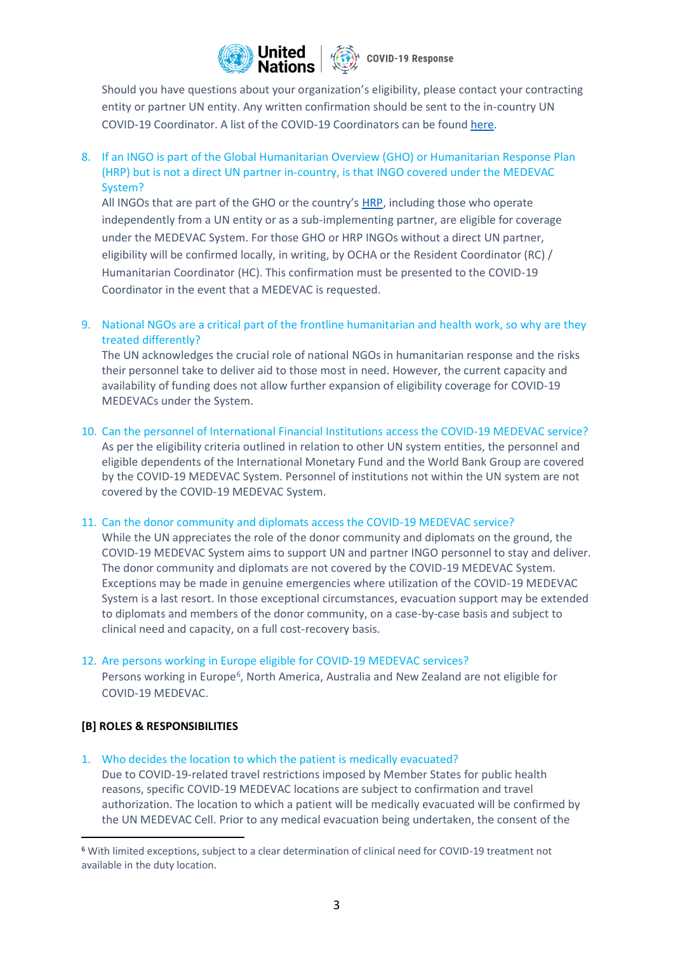

Should you have questions about your organization's eligibility, please contact your contracting entity or partner UN entity. Any written confirmation should be sent to the in-country UN COVID-19 Coordinator. A list of the COVID-19 Coordinators can be found [here.](https://www.un.org/sites/un2.un.org/files/covid-19_coordinators_contacts_list.pdf)

8. If an INGO is part of the Global Humanitarian Overview (GHO) or Humanitarian Response Plan (HRP) but is not a direct UN partner in-country, is that INGO covered under the MEDEVAC System?

All INGOs that are part of the GHO or the country's [HRP,](https://fts.unocha.org/appeals/overview/2020) including those who operate independently from a UN entity or as a sub-implementing partner, are eligible for coverage under the MEDEVAC System. For those GHO or HRP INGOs without a direct UN partner, eligibility will be confirmed locally, in writing, by OCHA or the Resident Coordinator (RC) / Humanitarian Coordinator (HC). This confirmation must be presented to the COVID-19 Coordinator in the event that a MEDEVAC is requested.

9. National NGOs are a critical part of the frontline humanitarian and health work, so why are they treated differently?

The UN acknowledges the crucial role of national NGOs in humanitarian response and the risks their personnel take to deliver aid to those most in need. However, the current capacity and availability of funding does not allow further expansion of eligibility coverage for COVID-19 MEDEVACs under the System.

10. Can the personnel of International Financial Institutions access the COVID-19 MEDEVAC service? As per the eligibility criteria outlined in relation to other UN system entities, the personnel and

eligible dependents of the International Monetary Fund and the World Bank Group are covered by the COVID-19 MEDEVAC System. Personnel of institutions not within the UN system are not covered by the COVID-19 MEDEVAC System.

#### 11. Can the donor community and diplomats access the COVID-19 MEDEVAC service?

While the UN appreciates the role of the donor community and diplomats on the ground, the COVID-19 MEDEVAC System aims to support UN and partner INGO personnel to stay and deliver. The donor community and diplomats are not covered by the COVID-19 MEDEVAC System. Exceptions may be made in genuine emergencies where utilization of the COVID-19 MEDEVAC System is a last resort. In those exceptional circumstances, evacuation support may be extended to diplomats and members of the donor community, on a case-by-case basis and subject to clinical need and capacity, on a full cost-recovery basis.

#### 12. Are persons working in Europe eligible for COVID-19 MEDEVAC services?

Persons working in Europe<sup>6</sup>, North America, Australia and New Zealand are not eligible for COVID-19 MEDEVAC.

#### **[B] ROLES & RESPONSIBILITIES**

1. Who decides the location to which the patient is medically evacuated?

Due to COVID-19-related travel restrictions imposed by Member States for public health reasons, specific COVID-19 MEDEVAC locations are subject to confirmation and travel authorization. The location to which a patient will be medically evacuated will be confirmed by the UN MEDEVAC Cell. Prior to any medical evacuation being undertaken, the consent of the

<sup>6</sup> With limited exceptions, subject to a clear determination of clinical need for COVID-19 treatment not available in the duty location.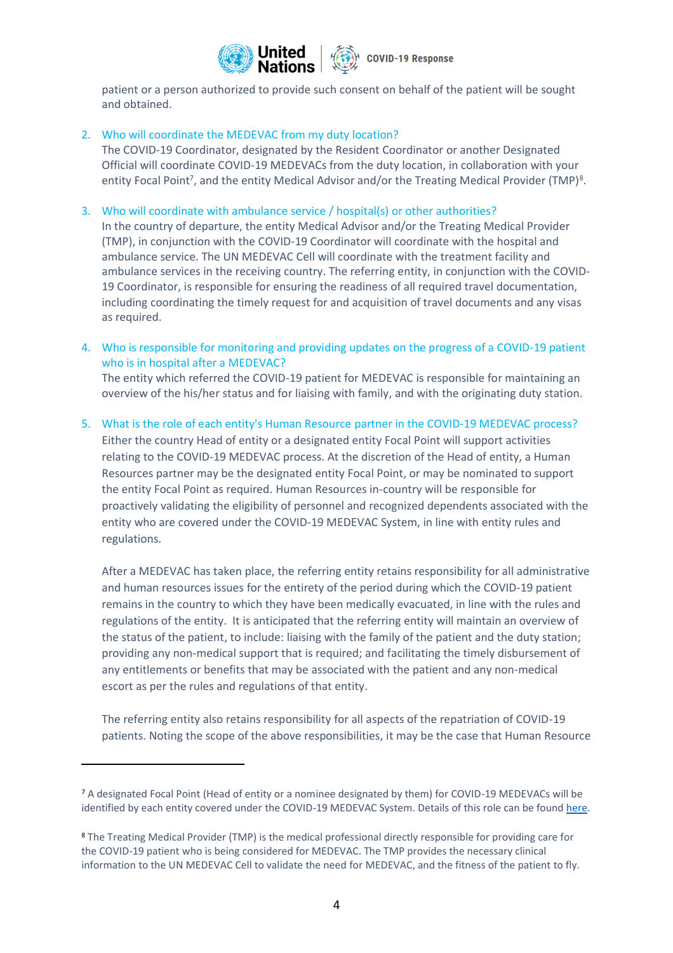

patient or a person authorized to provide such consent on behalf of the patient will be sought and obtained.

## 2. Who will coordinate the MEDEVAC from my duty location?

The COVID-19 Coordinator, designated by the Resident Coordinator or another Designated Official will coordinate COVID-19 MEDEVACs from the duty location, in collaboration with your entity Focal Point<sup>7</sup>, and the entity Medical Advisor and/or the Treating Medical Provider (TMP)<sup>8</sup>.

3. Who will coordinate with ambulance service / hospital(s) or other authorities?

In the country of departure, the entity Medical Advisor and/or the Treating Medical Provider (TMP), in conjunction with the COVID-19 Coordinator will coordinate with the hospital and ambulance service. The UN MEDEVAC Cell will coordinate with the treatment facility and ambulance services in the receiving country. The referring entity, in conjunction with the COVID-19 Coordinator, is responsible for ensuring the readiness of all required travel documentation, including coordinating the timely request for and acquisition of travel documents and any visas as required.

4. Who is responsible for monitoring and providing updates on the progress of a COVID-19 patient who is in hospital after a MEDEVAC? The entity which referred the COVID-19 patient for MEDEVAC is responsible for maintaining an

overview of the his/her status and for liaising with family, and with the originating duty station.

5. What is the role of each entity's Human Resource partner in the COVID-19 MEDEVAC process?

Either the country Head of entity or a designated entity Focal Point will support activities relating to the COVID-19 MEDEVAC process. At the discretion of the Head of entity, a Human Resources partner may be the designated entity Focal Point, or may be nominated to support the entity Focal Point as required. Human Resources in-country will be responsible for proactively validating the eligibility of personnel and recognized dependents associated with the entity who are covered under the COVID-19 MEDEVAC System, in line with entity rules and regulations.

After a MEDEVAC has taken place, the referring entity retains responsibility for all administrative and human resources issues for the entirety of the period during which the COVID-19 patient remains in the country to which they have been medically evacuated, in line with the rules and regulations of the entity. It is anticipated that the referring entity will maintain an overview of the status of the patient, to include: liaising with the family of the patient and the duty station; providing any non-medical support that is required; and facilitating the timely disbursement of any entitlements or benefits that may be associated with the patient and any non-medical escort as per the rules and regulations of that entity.

The referring entity also retains responsibility for all aspects of the repatriation of COVID-19 patients. Noting the scope of the above responsibilities, it may be the case that Human Resource

<sup>7</sup> A designated Focal Point (Head of entity or a nominee designated by them) for COVID-19 MEDEVACs will be identified by each entity covered under the COVID-19 MEDEVAC System. Details of this role can be found [here.](https://www.un.org/sites/un2.un.org/files/guidance_-_focal_point_terms_of_reference.pdf)

<sup>8</sup> The Treating Medical Provider (TMP) is the medical professional directly responsible for providing care for the COVID-19 patient who is being considered for MEDEVAC. The TMP provides the necessary clinical information to the UN MEDEVAC Cell to validate the need for MEDEVAC, and the fitness of the patient to fly.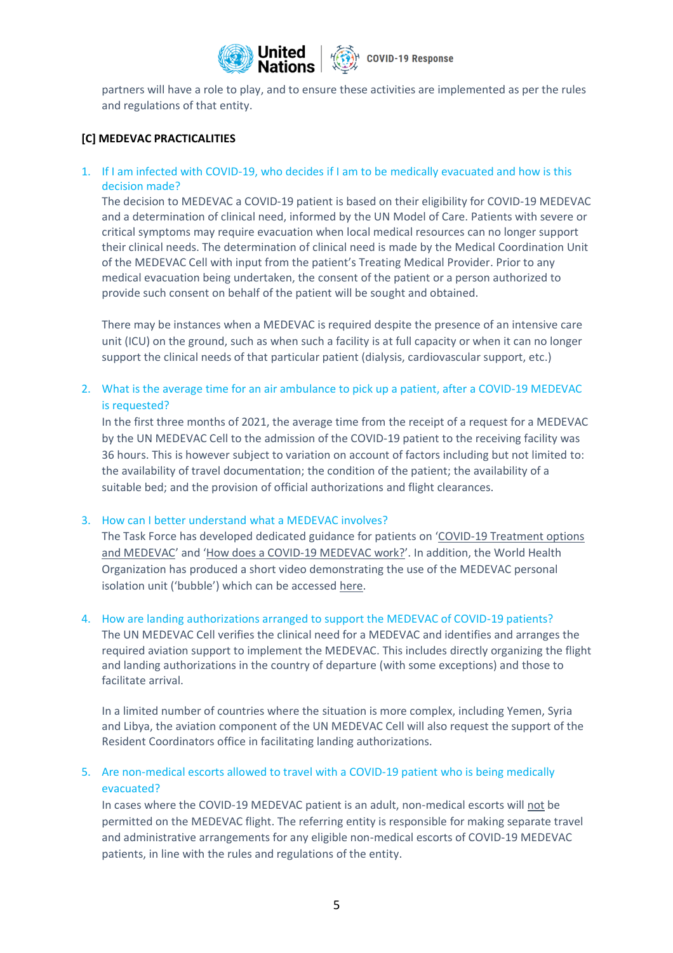

partners will have a role to play, and to ensure these activities are implemented as per the rules and regulations of that entity.

## **[C] MEDEVAC PRACTICALITIES**

1. If I am infected with COVID-19, who decides if I am to be medically evacuated and how is this decision made?

The decision to MEDEVAC a COVID-19 patient is based on their eligibility for COVID-19 MEDEVAC and a determination of clinical need, informed by the UN Model of Care. Patients with severe or critical symptoms may require evacuation when local medical resources can no longer support their clinical needs. The determination of clinical need is made by the Medical Coordination Unit of the MEDEVAC Cell with input from the patient's Treating Medical Provider. Prior to any medical evacuation being undertaken, the consent of the patient or a person authorized to provide such consent on behalf of the patient will be sought and obtained.

There may be instances when a MEDEVAC is required despite the presence of an intensive care unit (ICU) on the ground, such as when such a facility is at full capacity or when it can no longer support the clinical needs of that particular patient (dialysis, cardiovascular support, etc.)

2. What is the average time for an air ambulance to pick up a patient, after a COVID-19 MEDEVAC is requested?

In the first three months of 2021, the average time from the receipt of a request for a MEDEVAC by the UN MEDEVAC Cell to the admission of the COVID-19 patient to the receiving facility was 36 hours. This is however subject to variation on account of factors including but not limited to: the availability of travel documentation; the condition of the patient; the availability of a suitable bed; and the provision of official authorizations and flight clearances.

#### 3. How can I better understand what a MEDEVAC involves?

The Task Force has developed dedicated guidance for patients on '[COVID-19 Treatment options](https://www.un.org/sites/un2.un.org/files/guidance_note_-_covid-19_treatment_and_medevac.pdf)  [and MEDEVAC](https://www.un.org/sites/un2.un.org/files/guidance_note_-_covid-19_treatment_and_medevac.pdf)' and '[How does a COVID-19 MEDEVAC work?](https://www.un.org/sites/un2.un.org/files/guidance_note_-_a_patients_perspective._how_does_a_medevac_work.pdf)'. In addition, the World Health Organization has produced a short video demonstrating the use of the MEDEVAC personal isolation unit ('bubble') which can be accessed [here.](https://www.youtube.com/watch?v=RbM5WJxKAjk)

#### 4. How are landing authorizations arranged to support the MEDEVAC of COVID-19 patients?

The UN MEDEVAC Cell verifies the clinical need for a MEDEVAC and identifies and arranges the required aviation support to implement the MEDEVAC. This includes directly organizing the flight and landing authorizations in the country of departure (with some exceptions) and those to facilitate arrival.

In a limited number of countries where the situation is more complex, including Yemen, Syria and Libya, the aviation component of the UN MEDEVAC Cell will also request the support of the Resident Coordinators office in facilitating landing authorizations.

# 5. Are non-medical escorts allowed to travel with a COVID-19 patient who is being medically evacuated?

In cases where the COVID-19 MEDEVAC patient is an adult, non-medical escorts will not be permitted on the MEDEVAC flight. The referring entity is responsible for making separate travel and administrative arrangements for any eligible non-medical escorts of COVID-19 MEDEVAC patients, in line with the rules and regulations of the entity.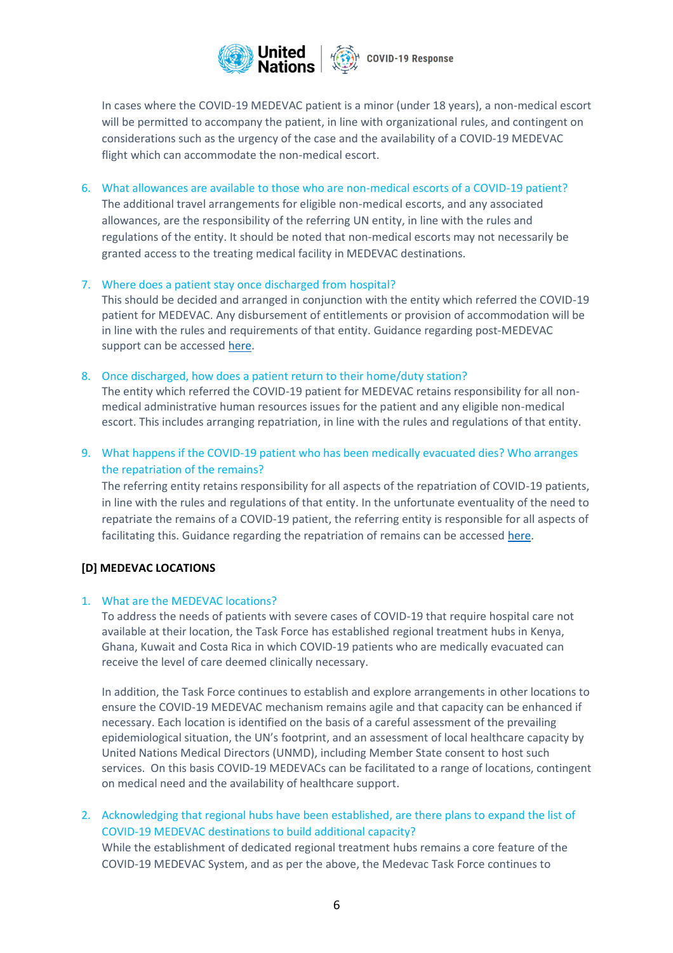

In cases where the COVID-19 MEDEVAC patient is a minor (under 18 years), a non-medical escort will be permitted to accompany the patient, in line with organizational rules, and contingent on considerations such as the urgency of the case and the availability of a COVID-19 MEDEVAC flight which can accommodate the non-medical escort.

- 6. What allowances are available to those who are non-medical escorts of a COVID-19 patient? The additional travel arrangements for eligible non-medical escorts, and any associated allowances, are the responsibility of the referring UN entity, in line with the rules and regulations of the entity. It should be noted that non-medical escorts may not necessarily be granted access to the treating medical facility in MEDEVAC destinations.
- 7. Where does a patient stay once discharged from hospital?

This should be decided and arranged in conjunction with the entity which referred the COVID-19 patient for MEDEVAC. Any disbursement of entitlements or provision of accommodation will be in line with the rules and requirements of that entity. Guidance regarding post-MEDEVAC support can be accessed [here.](https://www.un.org/sites/un2.un.org/files/post-medevac_support_framework.pdf)

8. Once discharged, how does a patient return to their home/duty station?

The entity which referred the COVID-19 patient for MEDEVAC retains responsibility for all nonmedical administrative human resources issues for the patient and any eligible non-medical escort. This includes arranging repatriation, in line with the rules and regulations of that entity.

9. What happens if the COVID-19 patient who has been medically evacuated dies? Who arranges the repatriation of the remains?

The referring entity retains responsibility for all aspects of the repatriation of COVID-19 patients, in line with the rules and regulations of that entity. In the unfortunate eventuality of the need to repatriate the remains of a COVID-19 patient, the referring entity is responsible for all aspects of facilitating this. Guidance regarding the repatriation of remains can be accessed [here.](https://www.un.org/sites/un2.un.org/files/sop_framework_covid-19_repatriation_of_remains.pdf)

# **[D] MEDEVAC LOCATIONS**

#### 1. What are the MEDEVAC locations?

To address the needs of patients with severe cases of COVID-19 that require hospital care not available at their location, the Task Force has established regional treatment hubs in Kenya, Ghana, Kuwait and Costa Rica in which COVID-19 patients who are medically evacuated can receive the level of care deemed clinically necessary.

In addition, the Task Force continues to establish and explore arrangements in other locations to ensure the COVID-19 MEDEVAC mechanism remains agile and that capacity can be enhanced if necessary. Each location is identified on the basis of a careful assessment of the prevailing epidemiological situation, the UN's footprint, and an assessment of local healthcare capacity by United Nations Medical Directors (UNMD), including Member State consent to host such services. On this basis COVID-19 MEDEVACs can be facilitated to a range of locations, contingent on medical need and the availability of healthcare support.

2. Acknowledging that regional hubs have been established, are there plans to expand the list of COVID-19 MEDEVAC destinations to build additional capacity? While the establishment of dedicated regional treatment hubs remains a core feature of the COVID-19 MEDEVAC System, and as per the above, the Medevac Task Force continues to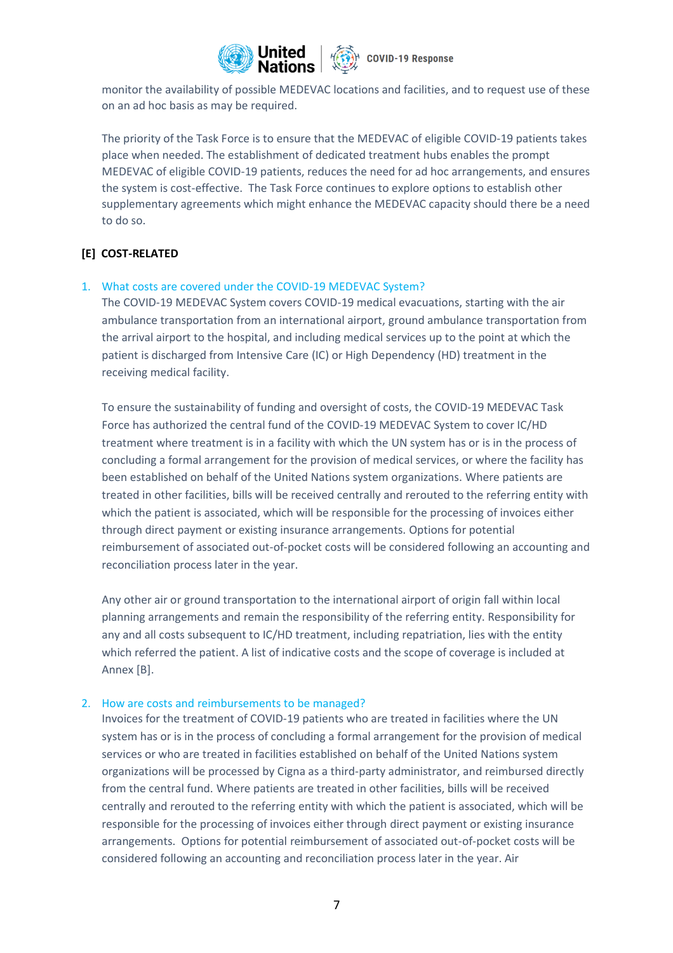

monitor the availability of possible MEDEVAC locations and facilities, and to request use of these on an ad hoc basis as may be required.

The priority of the Task Force is to ensure that the MEDEVAC of eligible COVID-19 patients takes place when needed. The establishment of dedicated treatment hubs enables the prompt MEDEVAC of eligible COVID-19 patients, reduces the need for ad hoc arrangements, and ensures the system is cost-effective. The Task Force continues to explore options to establish other supplementary agreements which might enhance the MEDEVAC capacity should there be a need to do so.

# **[E] COST-RELATED**

#### 1. What costs are covered under the COVID-19 MEDEVAC System?

The COVID-19 MEDEVAC System covers COVID-19 medical evacuations, starting with the air ambulance transportation from an international airport, ground ambulance transportation from the arrival airport to the hospital, and including medical services up to the point at which the patient is discharged from Intensive Care (IC) or High Dependency (HD) treatment in the receiving medical facility.

To ensure the sustainability of funding and oversight of costs, the COVID-19 MEDEVAC Task Force has authorized the central fund of the COVID-19 MEDEVAC System to cover IC/HD treatment where treatment is in a facility with which the UN system has or is in the process of concluding a formal arrangement for the provision of medical services, or where the facility has been established on behalf of the United Nations system organizations. Where patients are treated in other facilities, bills will be received centrally and rerouted to the referring entity with which the patient is associated, which will be responsible for the processing of invoices either through direct payment or existing insurance arrangements. Options for potential reimbursement of associated out-of-pocket costs will be considered following an accounting and reconciliation process later in the year.

Any other air or ground transportation to the international airport of origin fall within local planning arrangements and remain the responsibility of the referring entity. Responsibility for any and all costs subsequent to IC/HD treatment, including repatriation, lies with the entity which referred the patient. A list of indicative costs and the scope of coverage is included at Annex [B].

#### 2. How are costs and reimbursements to be managed?

Invoices for the treatment of COVID-19 patients who are treated in facilities where the UN system has or is in the process of concluding a formal arrangement for the provision of medical services or who are treated in facilities established on behalf of the United Nations system organizations will be processed by Cigna as a third-party administrator, and reimbursed directly from the central fund. Where patients are treated in other facilities, bills will be received centrally and rerouted to the referring entity with which the patient is associated, which will be responsible for the processing of invoices either through direct payment or existing insurance arrangements. Options for potential reimbursement of associated out-of-pocket costs will be considered following an accounting and reconciliation process later in the year. Air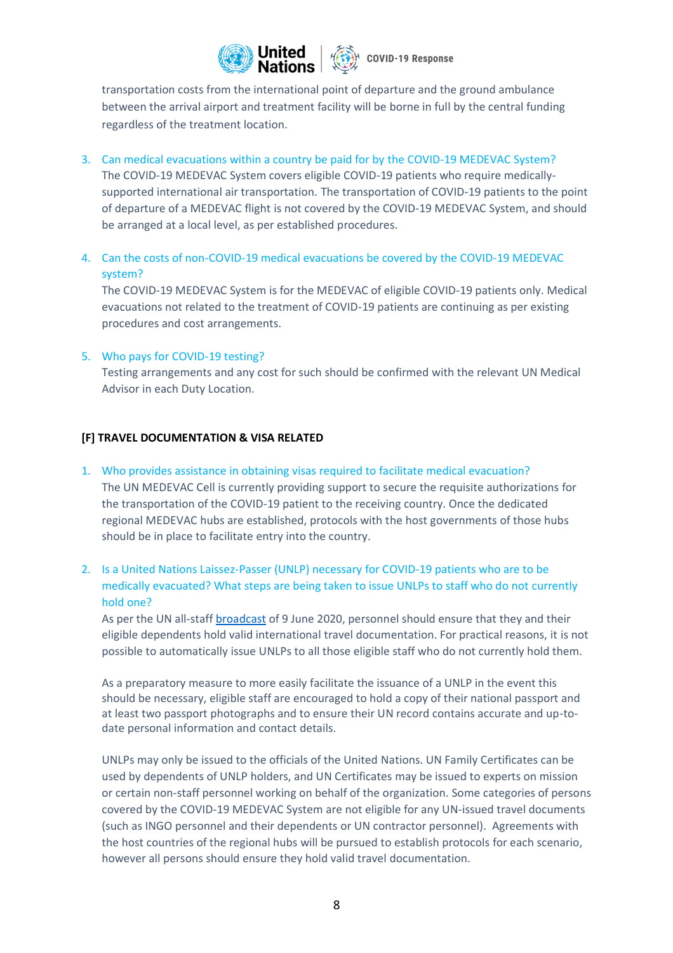

transportation costs from the international point of departure and the ground ambulance between the arrival airport and treatment facility will be borne in full by the central funding regardless of the treatment location.

3. Can medical evacuations within a country be paid for by the COVID-19 MEDEVAC System?

The COVID-19 MEDEVAC System covers eligible COVID-19 patients who require medicallysupported international air transportation. The transportation of COVID-19 patients to the point of departure of a MEDEVAC flight is not covered by the COVID-19 MEDEVAC System, and should be arranged at a local level, as per established procedures.

4. Can the costs of non-COVID-19 medical evacuations be covered by the COVID-19 MEDEVAC system?

The COVID-19 MEDEVAC System is for the MEDEVAC of eligible COVID-19 patients only. Medical evacuations not related to the treatment of COVID-19 patients are continuing as per existing procedures and cost arrangements.

5. Who pays for COVID-19 testing?

Testing arrangements and any cost for such should be confirmed with the relevant UN Medical Advisor in each Duty Location.

#### **[F] TRAVEL DOCUMENTATION & VISA RELATED**

- 1. Who provides assistance in obtaining visas required to facilitate medical evacuation? The UN MEDEVAC Cell is currently providing support to secure the requisite authorizations for the transportation of the COVID-19 patient to the receiving country. Once the dedicated regional MEDEVAC hubs are established, protocols with the host governments of those hubs should be in place to facilitate entry into the country.
- 2. Is a United Nations Laissez-Passer (UNLP) necessary for COVID-19 patients who are to be medically evacuated? What steps are being taken to issue UNLPs to staff who do not currently hold one?

As per the UN all-staff [broadcast](https://iseek.un.org/node/1879118) of 9 June 2020, personnel should ensure that they and their eligible dependents hold valid international travel documentation. For practical reasons, it is not possible to automatically issue UNLPs to all those eligible staff who do not currently hold them.

As a preparatory measure to more easily facilitate the issuance of a UNLP in the event this should be necessary, eligible staff are encouraged to hold a copy of their national passport and at least two passport photographs and to ensure their UN record contains accurate and up-todate personal information and contact details.

UNLPs may only be issued to the officials of the United Nations. UN Family Certificates can be used by dependents of UNLP holders, and UN Certificates may be issued to experts on mission or certain non-staff personnel working on behalf of the organization. Some categories of persons covered by the COVID-19 MEDEVAC System are not eligible for any UN-issued travel documents (such as INGO personnel and their dependents or UN contractor personnel). Agreements with the host countries of the regional hubs will be pursued to establish protocols for each scenario, however all persons should ensure they hold valid travel documentation.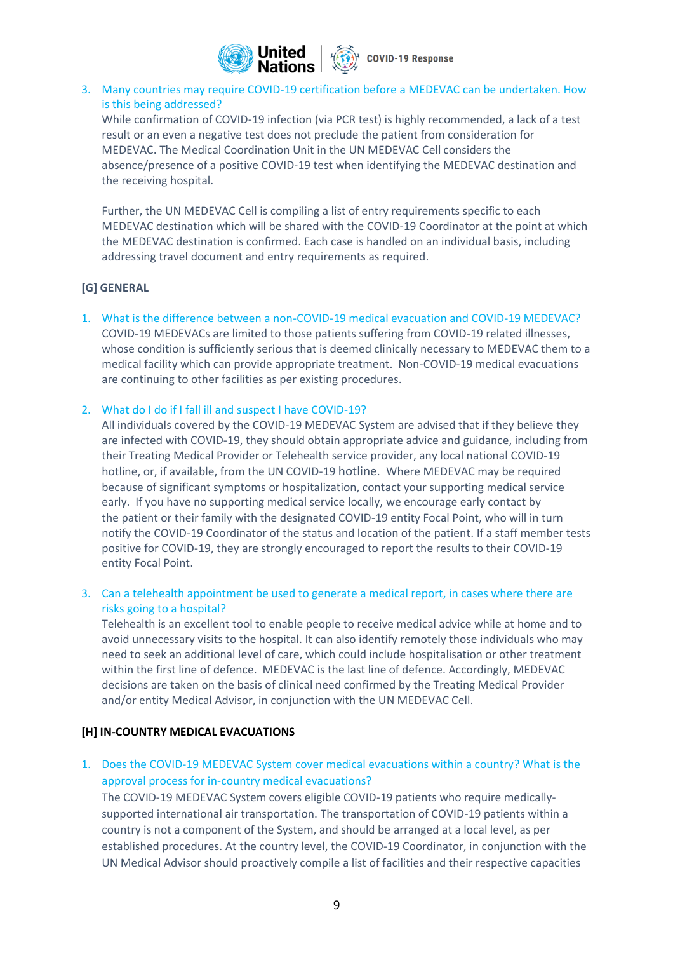

# 3. Many countries may require COVID-19 certification before a MEDEVAC can be undertaken. How is this being addressed?

While confirmation of COVID-19 infection (via PCR test) is highly recommended, a lack of a test result or an even a negative test does not preclude the patient from consideration for MEDEVAC. The Medical Coordination Unit in the UN MEDEVAC Cell considers the absence/presence of a positive COVID-19 test when identifying the MEDEVAC destination and the receiving hospital.

Further, the UN MEDEVAC Cell is compiling a list of entry requirements specific to each MEDEVAC destination which will be shared with the COVID-19 Coordinator at the point at which the MEDEVAC destination is confirmed. Each case is handled on an individual basis, including addressing travel document and entry requirements as required.

#### **[G] GENERAL**

1. What is the difference between a non-COVID-19 medical evacuation and COVID-19 MEDEVAC? COVID-19 MEDEVACs are limited to those patients suffering from COVID-19 related illnesses, whose condition is sufficiently serious that is deemed clinically necessary to MEDEVAC them to a medical facility which can provide appropriate treatment. Non-COVID-19 medical evacuations are continuing to other facilities as per existing procedures.

#### 2. What do I do if I fall ill and suspect I have COVID-19?

All individuals covered by the COVID-19 MEDEVAC System are advised that if they believe they are infected with COVID-19, they should obtain appropriate advice and guidance, including from their Treating Medical Provider or Telehealth service provider, any local national COVID-19 hotline, or, if available, from the UN COVID-19 [hotline](https://www.un.org/en/coronavirus/info-for-un-staff). Where MEDEVAC may be required because of significant symptoms or hospitalization, contact your supporting medical service early. If you have no supporting medical service locally, we encourage early contact by the patient or their family with the designated COVID-19 entity Focal Point, who will in turn notify the COVID-19 Coordinator of the status and location of the patient. If a staff member tests positive for COVID-19, they are strongly encouraged to report the results to their COVID-19 entity Focal Point.

# 3. Can a telehealth appointment be used to generate a medical report, in cases where there are risks going to a hospital?

Telehealth is an excellent tool to enable people to receive medical advice while at home and to avoid unnecessary visits to the hospital. It can also identify remotely those individuals who may need to seek an additional level of care, which could include hospitalisation or other treatment within the first line of defence. MEDEVAC is the last line of defence. Accordingly, MEDEVAC decisions are taken on the basis of clinical need confirmed by the Treating Medical Provider and/or entity Medical Advisor, in conjunction with the UN MEDEVAC Cell.

# **[H] IN-COUNTRY MEDICAL EVACUATIONS**

# 1. Does the COVID-19 MEDEVAC System cover medical evacuations within a country? What is the approval process for in-country medical evacuations?

The COVID-19 MEDEVAC System covers eligible COVID-19 patients who require medicallysupported international air transportation. The transportation of COVID-19 patients within a country is not a component of the System, and should be arranged at a local level, as per established procedures. At the country level, the COVID-19 Coordinator, in conjunction with the UN Medical Advisor should proactively compile a list of facilities and their respective capacities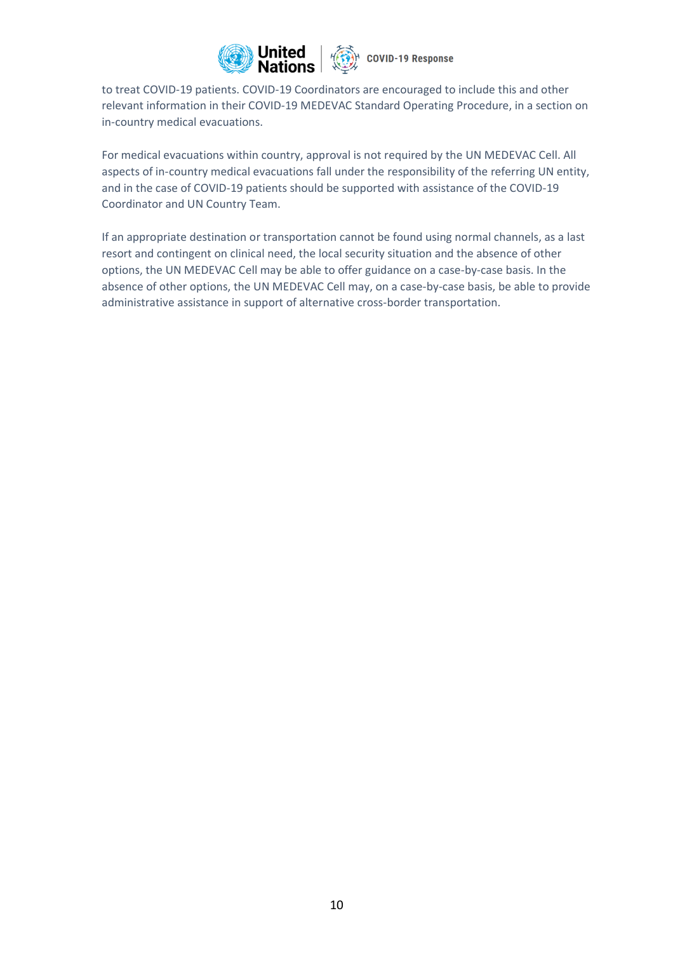

to treat COVID-19 patients. COVID-19 Coordinators are encouraged to include this and other relevant information in their COVID-19 MEDEVAC Standard Operating Procedure, in a section on in-country medical evacuations.

For medical evacuations within country, approval is not required by the UN MEDEVAC Cell. All aspects of in-country medical evacuations fall under the responsibility of the referring UN entity, and in the case of COVID-19 patients should be supported with assistance of the COVID-19 Coordinator and UN Country Team.

If an appropriate destination or transportation cannot be found using normal channels, as a last resort and contingent on clinical need, the local security situation and the absence of other options, the UN MEDEVAC Cell may be able to offer guidance on a case-by-case basis. In the absence of other options, the UN MEDEVAC Cell may, on a case-by-case basis, be able to provide administrative assistance in support of alternative cross-border transportation.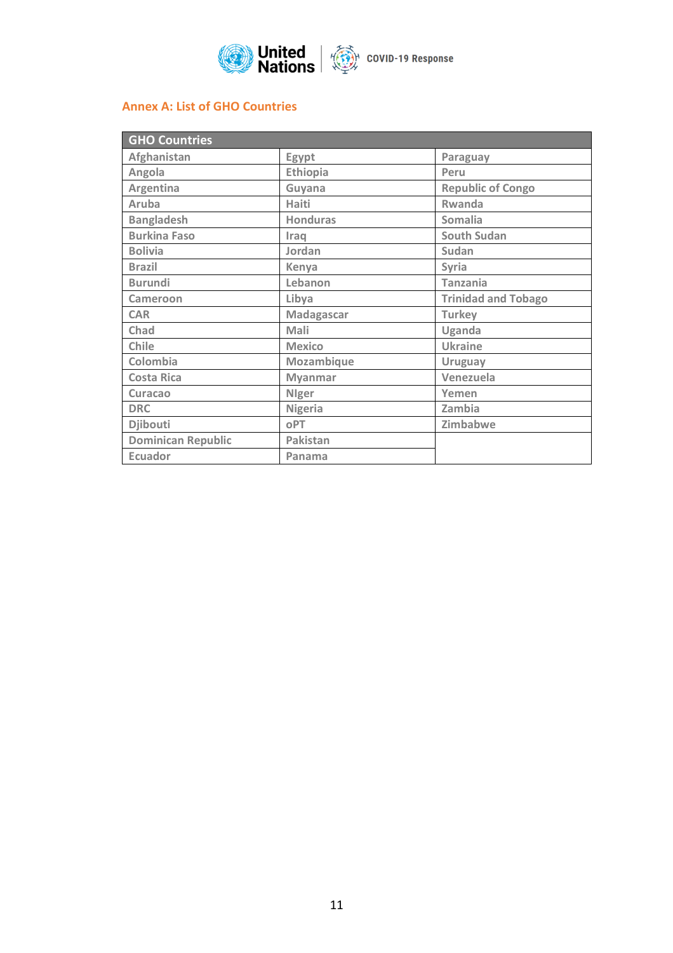

# **Annex A: List of GHO Countries**

| <b>GHO Countries</b>      |                                   |                            |  |  |
|---------------------------|-----------------------------------|----------------------------|--|--|
| Afghanistan               | Egypt<br>Paraguay                 |                            |  |  |
| Angola                    | <b>Ethiopia</b>                   | Peru                       |  |  |
| Argentina                 | Guyana                            | <b>Republic of Congo</b>   |  |  |
| Aruba                     | <b>Haiti</b>                      | <b>Rwanda</b>              |  |  |
| <b>Bangladesh</b>         | <b>Honduras</b><br><b>Somalia</b> |                            |  |  |
| <b>Burkina Faso</b>       | Iraq                              | <b>South Sudan</b>         |  |  |
| <b>Bolivia</b>            | Jordan                            | Sudan                      |  |  |
| <b>Brazil</b>             | Kenya                             | Syria                      |  |  |
| <b>Burundi</b>            | Lebanon                           | <b>Tanzania</b>            |  |  |
| Cameroon                  | Libya                             | <b>Trinidad and Tobago</b> |  |  |
| <b>CAR</b>                | Madagascar                        | <b>Turkey</b>              |  |  |
| Chad                      | Mali                              | Uganda                     |  |  |
| Chile                     | <b>Mexico</b>                     | <b>Ukraine</b>             |  |  |
| Colombia                  | Mozambique                        | <b>Uruguay</b>             |  |  |
| <b>Costa Rica</b>         | <b>Myanmar</b>                    | Venezuela                  |  |  |
| <b>Curacao</b>            | <b>Nlger</b><br>Yemen             |                            |  |  |
| <b>DRC</b>                | Nigeria<br>Zambia                 |                            |  |  |
| <b>Djibouti</b>           | oPT                               | Zimbabwe                   |  |  |
| <b>Dominican Republic</b> | Pakistan                          |                            |  |  |
| <b>Ecuador</b>            | Panama                            |                            |  |  |